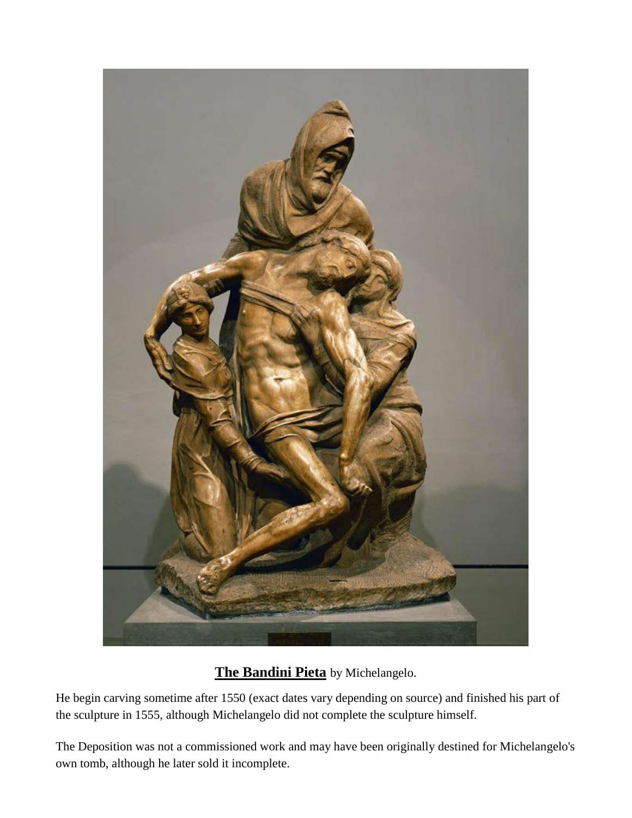

## **The Bandini Pieta** by Michelangelo.

He begin carving sometime after 1550 (exact dates vary depending on source) and finished his part of the sculpture in 1555, although Michelangelo did not complete the sculpture himself.

The Deposition was not a commissioned work and may have been originally destined for Michelangelo's own tomb, although he later sold it incomplete.